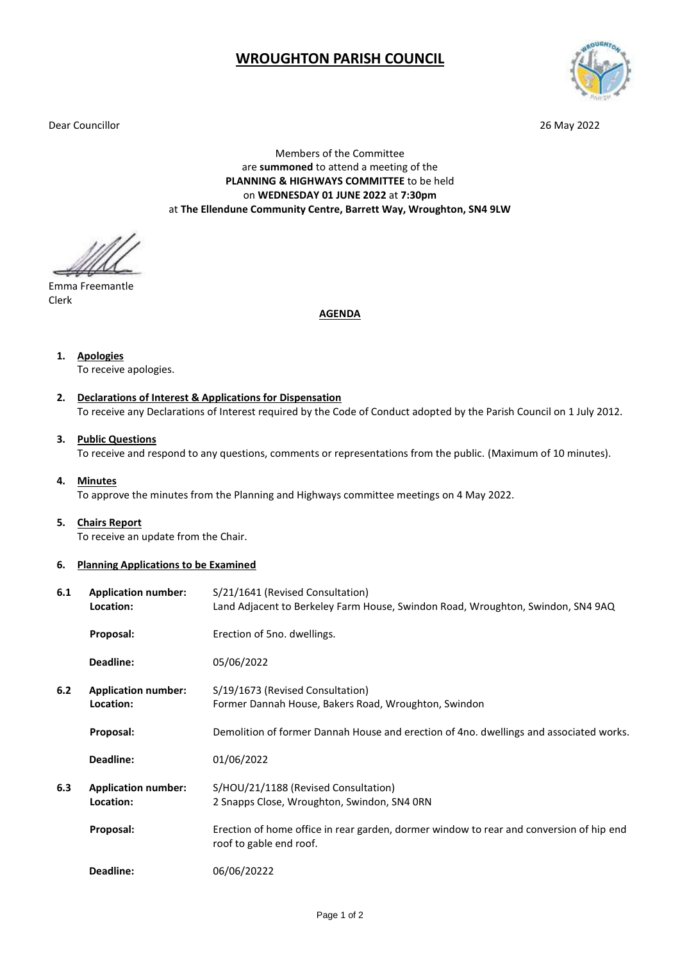## **WROUGHTON PARISH COUNCIL**

Dear Councillor 26 May 2022



Members of the Committee are **summoned** to attend a meeting of the **PLANNING & HIGHWAYS COMMITTEE** to be held on **WEDNESDAY 01 JUNE 2022** at **7:30pm** at **The Ellendune Community Centre, Barrett Way, Wroughton, SN4 9LW**

Emma Freemantle Clerk

**AGENDA**

**1. Apologies**

To receive apologies.

- **2. Declarations of Interest & Applications for Dispensation** To receive any Declarations of Interest required by the Code of Conduct adopted by the Parish Council on 1 July 2012.
- **3. Public Questions** To receive and respond to any questions, comments or representations from the public. (Maximum of 10 minutes).
- **4. Minutes**

To approve the minutes from the Planning and Highways committee meetings on 4 May 2022.

**5. Chairs Report**

To receive an update from the Chair.

**6. Planning Applications to be Examined**

| 6.1 | <b>Application number:</b><br>Location: | S/21/1641 (Revised Consultation)<br>Land Adjacent to Berkeley Farm House, Swindon Road, Wroughton, Swindon, SN4 9AQ |
|-----|-----------------------------------------|---------------------------------------------------------------------------------------------------------------------|
|     | Proposal:                               | Erection of 5no. dwellings.                                                                                         |
|     | Deadline:                               | 05/06/2022                                                                                                          |
| 6.2 | <b>Application number:</b><br>Location: | S/19/1673 (Revised Consultation)<br>Former Dannah House, Bakers Road, Wroughton, Swindon                            |
|     | Proposal:                               | Demolition of former Dannah House and erection of 4no. dwellings and associated works.                              |
|     | Deadline:                               | 01/06/2022                                                                                                          |
| 6.3 | <b>Application number:</b><br>Location: | S/HOU/21/1188 (Revised Consultation)<br>2 Snapps Close, Wroughton, Swindon, SN4 ORN                                 |
|     | Proposal:                               | Erection of home office in rear garden, dormer window to rear and conversion of hip end<br>roof to gable end roof.  |
|     | Deadline:                               | 06/06/20222                                                                                                         |